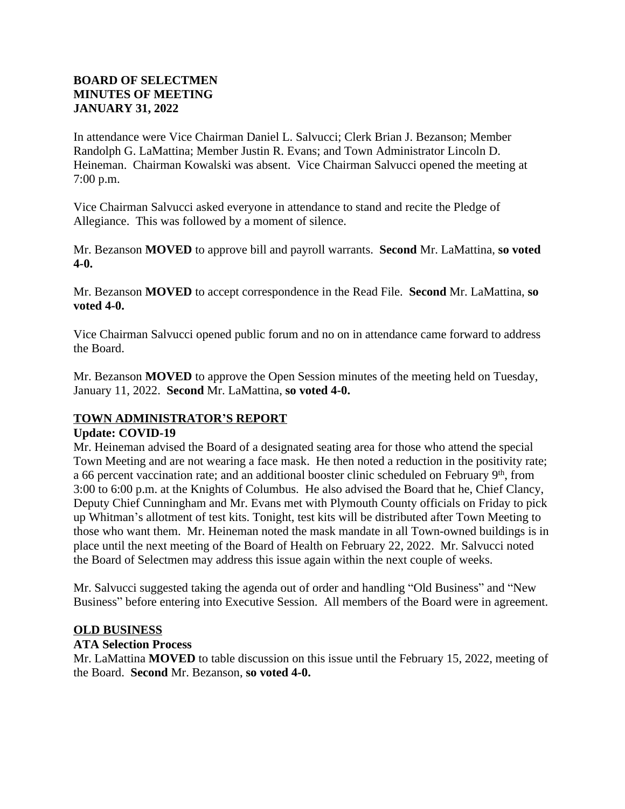# **BOARD OF SELECTMEN MINUTES OF MEETING JANUARY 31, 2022**

In attendance were Vice Chairman Daniel L. Salvucci; Clerk Brian J. Bezanson; Member Randolph G. LaMattina; Member Justin R. Evans; and Town Administrator Lincoln D. Heineman. Chairman Kowalski was absent. Vice Chairman Salvucci opened the meeting at 7:00 p.m.

Vice Chairman Salvucci asked everyone in attendance to stand and recite the Pledge of Allegiance. This was followed by a moment of silence.

Mr. Bezanson **MOVED** to approve bill and payroll warrants. **Second** Mr. LaMattina, **so voted 4-0.**

Mr. Bezanson **MOVED** to accept correspondence in the Read File. **Second** Mr. LaMattina, **so voted 4-0.**

Vice Chairman Salvucci opened public forum and no on in attendance came forward to address the Board.

Mr. Bezanson **MOVED** to approve the Open Session minutes of the meeting held on Tuesday, January 11, 2022. **Second** Mr. LaMattina, **so voted 4-0.**

# **TOWN ADMINISTRATOR'S REPORT**

### **Update: COVID-19**

Mr. Heineman advised the Board of a designated seating area for those who attend the special Town Meeting and are not wearing a face mask. He then noted a reduction in the positivity rate; a 66 percent vaccination rate; and an additional booster clinic scheduled on February 9th, from 3:00 to 6:00 p.m. at the Knights of Columbus. He also advised the Board that he, Chief Clancy, Deputy Chief Cunningham and Mr. Evans met with Plymouth County officials on Friday to pick up Whitman's allotment of test kits. Tonight, test kits will be distributed after Town Meeting to those who want them. Mr. Heineman noted the mask mandate in all Town-owned buildings is in place until the next meeting of the Board of Health on February 22, 2022. Mr. Salvucci noted the Board of Selectmen may address this issue again within the next couple of weeks.

Mr. Salvucci suggested taking the agenda out of order and handling "Old Business" and "New Business" before entering into Executive Session. All members of the Board were in agreement.

### **OLD BUSINESS**

# **ATA Selection Process**

Mr. LaMattina **MOVED** to table discussion on this issue until the February 15, 2022, meeting of the Board. **Second** Mr. Bezanson, **so voted 4-0.**